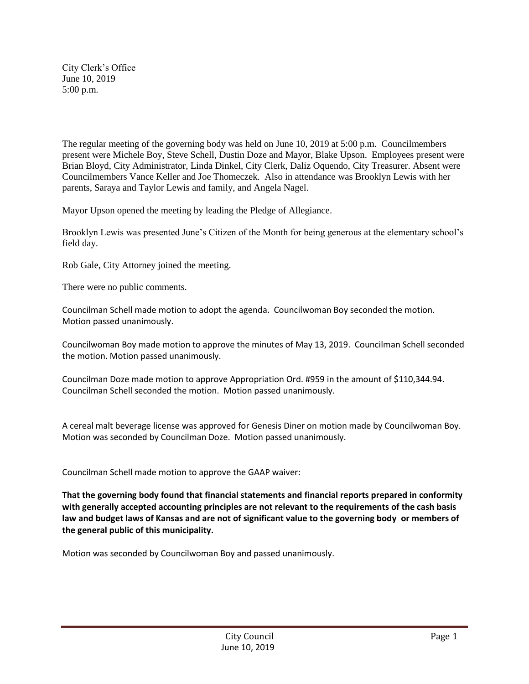City Clerk's Office June 10, 2019 5:00 p.m.

The regular meeting of the governing body was held on June 10, 2019 at 5:00 p.m. Councilmembers present were Michele Boy, Steve Schell, Dustin Doze and Mayor, Blake Upson. Employees present were Brian Bloyd, City Administrator, Linda Dinkel, City Clerk, Daliz Oquendo, City Treasurer. Absent were Councilmembers Vance Keller and Joe Thomeczek. Also in attendance was Brooklyn Lewis with her parents, Saraya and Taylor Lewis and family, and Angela Nagel.

Mayor Upson opened the meeting by leading the Pledge of Allegiance.

Brooklyn Lewis was presented June's Citizen of the Month for being generous at the elementary school's field day.

Rob Gale, City Attorney joined the meeting.

There were no public comments.

Councilman Schell made motion to adopt the agenda. Councilwoman Boy seconded the motion. Motion passed unanimously.

Councilwoman Boy made motion to approve the minutes of May 13, 2019. Councilman Schell seconded the motion. Motion passed unanimously.

Councilman Doze made motion to approve Appropriation Ord. #959 in the amount of \$110,344.94. Councilman Schell seconded the motion. Motion passed unanimously.

A cereal malt beverage license was approved for Genesis Diner on motion made by Councilwoman Boy. Motion was seconded by Councilman Doze. Motion passed unanimously.

Councilman Schell made motion to approve the GAAP waiver:

**That the governing body found that financial statements and financial reports prepared in conformity with generally accepted accounting principles are not relevant to the requirements of the cash basis law and budget laws of Kansas and are not of significant value to the governing body or members of the general public of this municipality.**

Motion was seconded by Councilwoman Boy and passed unanimously.